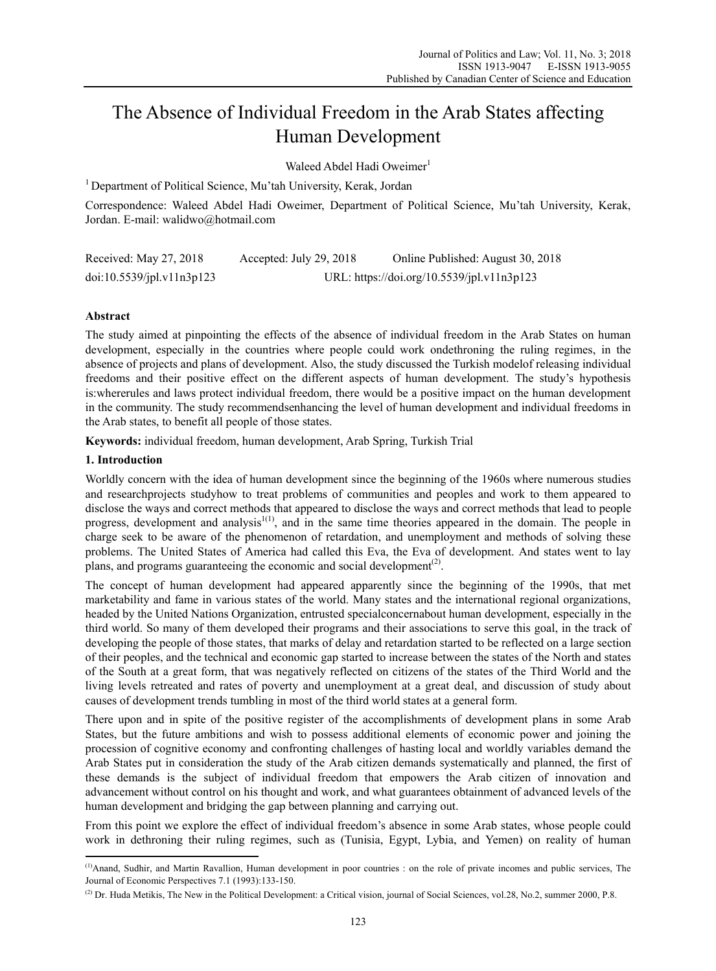# The Absence of Individual Freedom in the Arab States affecting Human Development

Waleed Abdel Hadi Oweimer<sup>1</sup>

<sup>1</sup> Department of Political Science, Mu'tah University, Kerak, Jordan

Correspondence: Waleed Abdel Hadi Oweimer, Department of Political Science, Mu'tah University, Kerak, Jordan. E-mail: walidwo@hotmail.com

| Received: May 27, 2018    | Accepted: July 29, 2018                    | Online Published: August 30, 2018 |
|---------------------------|--------------------------------------------|-----------------------------------|
| doi:10.5539/jpl.v11n3p123 | URL: https://doi.org/10.5539/jpl.v11n3p123 |                                   |

# **Abstract**

The study aimed at pinpointing the effects of the absence of individual freedom in the Arab States on human development, especially in the countries where people could work ondethroning the ruling regimes, in the absence of projects and plans of development. Also, the study discussed the Turkish modelof releasing individual freedoms and their positive effect on the different aspects of human development. The study's hypothesis is:whererules and laws protect individual freedom, there would be a positive impact on the human development in the community. The study recommendsenhancing the level of human development and individual freedoms in the Arab states, to benefit all people of those states.

**Keywords:** individual freedom, human development, Arab Spring, Turkish Trial

## **1. Introduction**

 $\overline{a}$ 

Worldly concern with the idea of human development since the beginning of the 1960s where numerous studies and researchprojects studyhow to treat problems of communities and peoples and work to them appeared to disclose the ways and correct methods that appeared to disclose the ways and correct methods that lead to people progress, development and analysis<sup>1(1)</sup>, and in the same time theories appeared in the domain. The people in charge seek to be aware of the phenomenon of retardation, and unemployment and methods of solving these problems. The United States of America had called this Eva, the Eva of development. And states went to lay plans, and programs guaranteeing the economic and social development<sup> $(2)$ </sup>.

The concept of human development had appeared apparently since the beginning of the 1990s, that met marketability and fame in various states of the world. Many states and the international regional organizations, headed by the United Nations Organization, entrusted specialconcernabout human development, especially in the third world. So many of them developed their programs and their associations to serve this goal, in the track of developing the people of those states, that marks of delay and retardation started to be reflected on a large section of their peoples, and the technical and economic gap started to increase between the states of the North and states of the South at a great form, that was negatively reflected on citizens of the states of the Third World and the living levels retreated and rates of poverty and unemployment at a great deal, and discussion of study about causes of development trends tumbling in most of the third world states at a general form.

There upon and in spite of the positive register of the accomplishments of development plans in some Arab States, but the future ambitions and wish to possess additional elements of economic power and joining the procession of cognitive economy and confronting challenges of hasting local and worldly variables demand the Arab States put in consideration the study of the Arab citizen demands systematically and planned, the first of these demands is the subject of individual freedom that empowers the Arab citizen of innovation and advancement without control on his thought and work, and what guarantees obtainment of advanced levels of the human development and bridging the gap between planning and carrying out.

From this point we explore the effect of individual freedom's absence in some Arab states, whose people could work in dethroning their ruling regimes, such as (Tunisia, Egypt, Lybia, and Yemen) on reality of human

<sup>(1)</sup>Anand, Sudhir, and Martin Ravallion, Human development in poor countries : on the role of private incomes and public services, The Journal of Economic Perspectives 7.1 (1993):133-150.

<sup>(2)</sup> Dr. Huda Metikis, The New in the Political Development: a Critical vision, journal of Social Sciences, vol.28, No.2, summer 2000, P.8.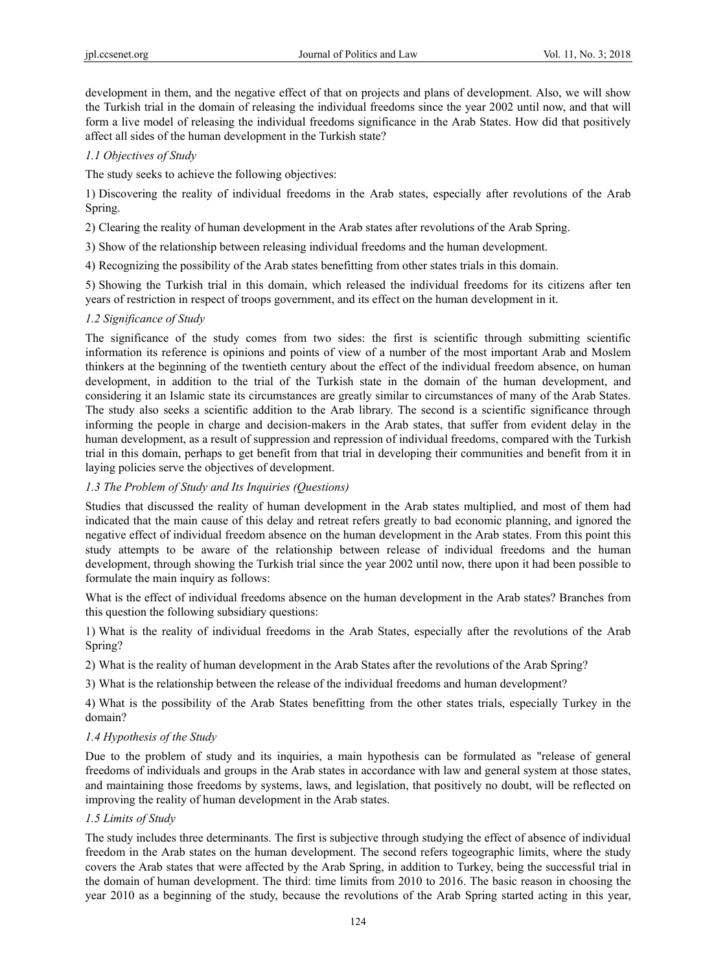development in them, and the negative effect of that on projects and plans of development. Also, we will show the Turkish trial in the domain of releasing the individual freedoms since the year 2002 until now, and that will form a live model of releasing the individual freedoms significance in the Arab States. How did that positively affect all sides of the human development in the Turkish state?

## *1.1 Objectives of Study*

The study seeks to achieve the following objectives:

1) Discovering the reality of individual freedoms in the Arab states, especially after revolutions of the Arab Spring.

2) Clearing the reality of human development in the Arab states after revolutions of the Arab Spring.

3) Show of the relationship between releasing individual freedoms and the human development.

4) Recognizing the possibility of the Arab states benefitting from other states trials in this domain.

5) Showing the Turkish trial in this domain, which released the individual freedoms for its citizens after ten years of restriction in respect of troops government, and its effect on the human development in it.

## *1.2 Significance of Study*

The significance of the study comes from two sides: the first is scientific through submitting scientific information its reference is opinions and points of view of a number of the most important Arab and Moslem thinkers at the beginning of the twentieth century about the effect of the individual freedom absence, on human development, in addition to the trial of the Turkish state in the domain of the human development, and considering it an Islamic state its circumstances are greatly similar to circumstances of many of the Arab States. The study also seeks a scientific addition to the Arab library. The second is a scientific significance through informing the people in charge and decision-makers in the Arab states, that suffer from evident delay in the human development, as a result of suppression and repression of individual freedoms, compared with the Turkish trial in this domain, perhaps to get benefit from that trial in developing their communities and benefit from it in laying policies serve the objectives of development.

## *1.3 The Problem of Study and Its Inquiries (Questions)*

Studies that discussed the reality of human development in the Arab states multiplied, and most of them had indicated that the main cause of this delay and retreat refers greatly to bad economic planning, and ignored the negative effect of individual freedom absence on the human development in the Arab states. From this point this study attempts to be aware of the relationship between release of individual freedoms and the human development, through showing the Turkish trial since the year 2002 until now, there upon it had been possible to formulate the main inquiry as follows:

What is the effect of individual freedoms absence on the human development in the Arab states? Branches from this question the following subsidiary questions:

1) What is the reality of individual freedoms in the Arab States, especially after the revolutions of the Arab Spring?

2) What is the reality of human development in the Arab States after the revolutions of the Arab Spring?

3) What is the relationship between the release of the individual freedoms and human development?

4) What is the possibility of the Arab States benefitting from the other states trials, especially Turkey in the domain?

# *1.4 Hypothesis of the Study*

Due to the problem of study and its inquiries, a main hypothesis can be formulated as "release of general freedoms of individuals and groups in the Arab states in accordance with law and general system at those states, and maintaining those freedoms by systems, laws, and legislation, that positively no doubt, will be reflected on improving the reality of human development in the Arab states.

## *1.5 Limits of Study*

The study includes three determinants. The first is subjective through studying the effect of absence of individual freedom in the Arab states on the human development. The second refers togeographic limits, where the study covers the Arab states that were affected by the Arab Spring, in addition to Turkey, being the successful trial in the domain of human development. The third: time limits from 2010 to 2016. The basic reason in choosing the year 2010 as a beginning of the study, because the revolutions of the Arab Spring started acting in this year,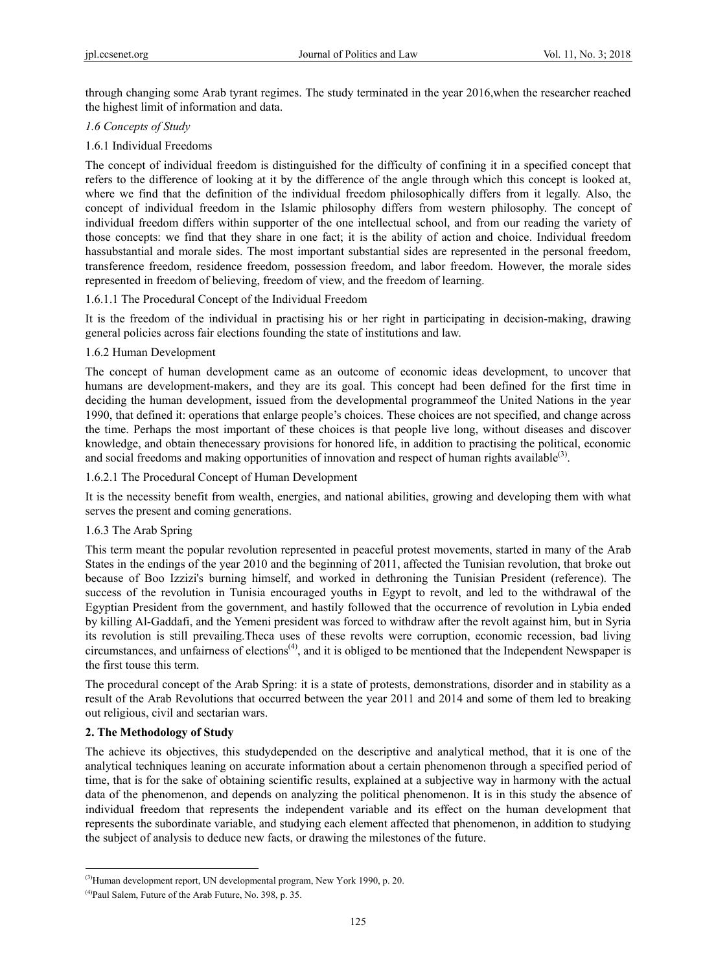through changing some Arab tyrant regimes. The study terminated in the year 2016,when the researcher reached the highest limit of information and data.

## *1.6 Concepts of Study*

## 1.6.1 Individual Freedoms

The concept of individual freedom is distinguished for the difficulty of confining it in a specified concept that refers to the difference of looking at it by the difference of the angle through which this concept is looked at, where we find that the definition of the individual freedom philosophically differs from it legally. Also, the concept of individual freedom in the Islamic philosophy differs from western philosophy. The concept of individual freedom differs within supporter of the one intellectual school, and from our reading the variety of those concepts: we find that they share in one fact; it is the ability of action and choice. Individual freedom hassubstantial and morale sides. The most important substantial sides are represented in the personal freedom, transference freedom, residence freedom, possession freedom, and labor freedom. However, the morale sides represented in freedom of believing, freedom of view, and the freedom of learning.

## 1.6.1.1 The Procedural Concept of the Individual Freedom

It is the freedom of the individual in practising his or her right in participating in decision-making, drawing general policies across fair elections founding the state of institutions and law.

## 1.6.2 Human Development

The concept of human development came as an outcome of economic ideas development, to uncover that humans are development-makers, and they are its goal. This concept had been defined for the first time in deciding the human development, issued from the developmental programmeof the United Nations in the year 1990, that defined it: operations that enlarge people's choices. These choices are not specified, and change across the time. Perhaps the most important of these choices is that people live long, without diseases and discover knowledge, and obtain thenecessary provisions for honored life, in addition to practising the political, economic and social freedoms and making opportunities of innovation and respect of human rights available<sup>(3)</sup>.

## 1.6.2.1 The Procedural Concept of Human Development

It is the necessity benefit from wealth, energies, and national abilities, growing and developing them with what serves the present and coming generations.

## 1.6.3 The Arab Spring

This term meant the popular revolution represented in peaceful protest movements, started in many of the Arab States in the endings of the year 2010 and the beginning of 2011, affected the Tunisian revolution, that broke out because of Boo Izzizi's burning himself, and worked in dethroning the Tunisian President (reference). The success of the revolution in Tunisia encouraged youths in Egypt to revolt, and led to the withdrawal of the Egyptian President from the government, and hastily followed that the occurrence of revolution in Lybia ended by killing Al-Gaddafi, and the Yemeni president was forced to withdraw after the revolt against him, but in Syria its revolution is still prevailing.Theca uses of these revolts were corruption, economic recession, bad living  $circumstances,$  and unfairness of elections<sup> $(4)$ </sup>, and it is obliged to be mentioned that the Independent Newspaper is the first touse this term.

The procedural concept of the Arab Spring: it is a state of protests, demonstrations, disorder and in stability as a result of the Arab Revolutions that occurred between the year 2011 and 2014 and some of them led to breaking out religious, civil and sectarian wars.

# **2. The Methodology of Study**

 $\overline{a}$ 

The achieve its objectives, this studydepended on the descriptive and analytical method, that it is one of the analytical techniques leaning on accurate information about a certain phenomenon through a specified period of time, that is for the sake of obtaining scientific results, explained at a subjective way in harmony with the actual data of the phenomenon, and depends on analyzing the political phenomenon. It is in this study the absence of individual freedom that represents the independent variable and its effect on the human development that represents the subordinate variable, and studying each element affected that phenomenon, in addition to studying the subject of analysis to deduce new facts, or drawing the milestones of the future.

 $^{(3)}$ Human development report, UN developmental program, New York 1990, p. 20.

<sup>4</sup> Paul Salem, Future of the Arab Future, No. 398, p. 35.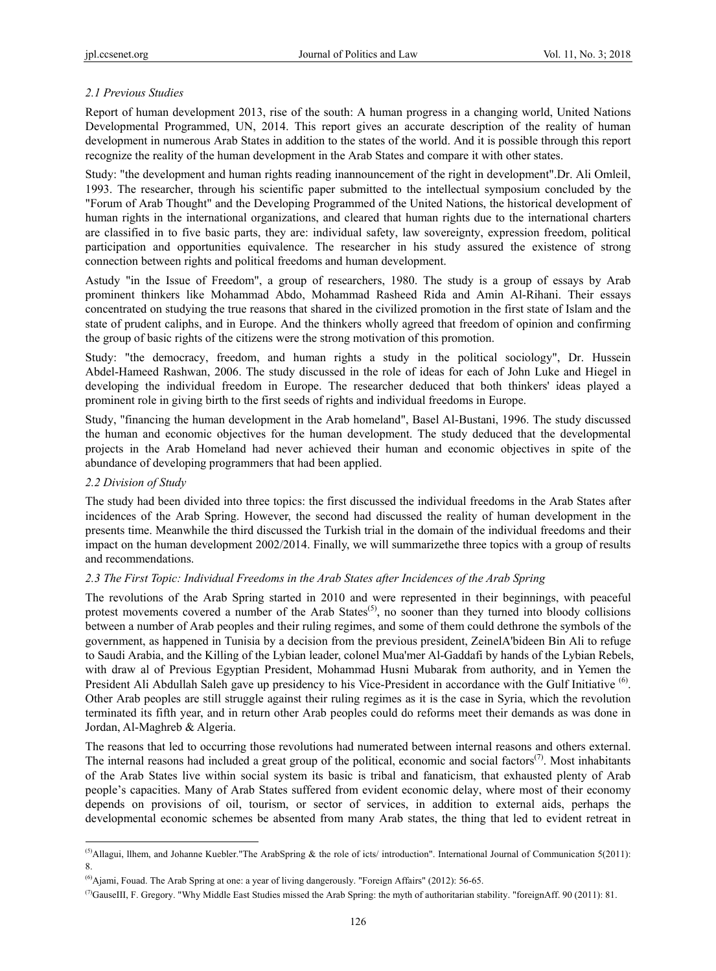# *2.1 Previous Studies*

Report of human development 2013, rise of the south: A human progress in a changing world, United Nations Developmental Programmed, UN, 2014. This report gives an accurate description of the reality of human development in numerous Arab States in addition to the states of the world. And it is possible through this report recognize the reality of the human development in the Arab States and compare it with other states.

Study: "the development and human rights reading inannouncement of the right in development".Dr. Ali Omleil, 1993. The researcher, through his scientific paper submitted to the intellectual symposium concluded by the "Forum of Arab Thought" and the Developing Programmed of the United Nations, the historical development of human rights in the international organizations, and cleared that human rights due to the international charters are classified in to five basic parts, they are: individual safety, law sovereignty, expression freedom, political participation and opportunities equivalence. The researcher in his study assured the existence of strong connection between rights and political freedoms and human development.

Astudy "in the Issue of Freedom", a group of researchers, 1980. The study is a group of essays by Arab prominent thinkers like Mohammad Abdo, Mohammad Rasheed Rida and Amin Al-Rihani. Their essays concentrated on studying the true reasons that shared in the civilized promotion in the first state of Islam and the state of prudent caliphs, and in Europe. And the thinkers wholly agreed that freedom of opinion and confirming the group of basic rights of the citizens were the strong motivation of this promotion.

Study: "the democracy, freedom, and human rights a study in the political sociology", Dr. Hussein Abdel-Hameed Rashwan, 2006. The study discussed in the role of ideas for each of John Luke and Hiegel in developing the individual freedom in Europe. The researcher deduced that both thinkers' ideas played a prominent role in giving birth to the first seeds of rights and individual freedoms in Europe.

Study, "financing the human development in the Arab homeland", Basel Al-Bustani, 1996. The study discussed the human and economic objectives for the human development. The study deduced that the developmental projects in the Arab Homeland had never achieved their human and economic objectives in spite of the abundance of developing programmers that had been applied.

## *2.2 Division of Study*

 $\overline{a}$ 

The study had been divided into three topics: the first discussed the individual freedoms in the Arab States after incidences of the Arab Spring. However, the second had discussed the reality of human development in the presents time. Meanwhile the third discussed the Turkish trial in the domain of the individual freedoms and their impact on the human development 2002/2014. Finally, we will summarizethe three topics with a group of results and recommendations.

## *2.3 The First Topic: Individual Freedoms in the Arab States after Incidences of the Arab Spring*

The revolutions of the Arab Spring started in 2010 and were represented in their beginnings, with peaceful protest movements covered a number of the Arab States<sup> $(5)$ </sup>, no sooner than they turned into bloody collisions between a number of Arab peoples and their ruling regimes, and some of them could dethrone the symbols of the government, as happened in Tunisia by a decision from the previous president, ZeinelA'bideen Bin Ali to refuge to Saudi Arabia, and the Killing of the Lybian leader, colonel Mua'mer Al-Gaddafi by hands of the Lybian Rebels, with draw al of Previous Egyptian President, Mohammad Husni Mubarak from authority, and in Yemen the President Ali Abdullah Saleh gave up presidency to his Vice-President in accordance with the Gulf Initiative <sup>(6)</sup>. Other Arab peoples are still struggle against their ruling regimes as it is the case in Syria, which the revolution terminated its fifth year, and in return other Arab peoples could do reforms meet their demands as was done in Jordan, Al-Maghreb & Algeria.

The reasons that led to occurring those revolutions had numerated between internal reasons and others external. The internal reasons had included a great group of the political, economic and social factors<sup> $(7)$ </sup>. Most inhabitants of the Arab States live within social system its basic is tribal and fanaticism, that exhausted plenty of Arab people's capacities. Many of Arab States suffered from evident economic delay, where most of their economy depends on provisions of oil, tourism, or sector of services, in addition to external aids, perhaps the developmental economic schemes be absented from many Arab states, the thing that led to evident retreat in

<sup>&</sup>lt;sup>(5)</sup>Allagui, llhem, and Johanne Kuebler."The ArabSpring & the role of icts/ introduction". International Journal of Communication 5(2011): 8.

<sup>6</sup> Ajami, Fouad. The Arab Spring at one: a year of living dangerously. "Foreign Affairs" (2012): 56-65.

 $\sigma$ GauseIII, F. Gregory. "Why Middle East Studies missed the Arab Spring: the myth of authoritarian stability. "foreignAff. 90 (2011): 81.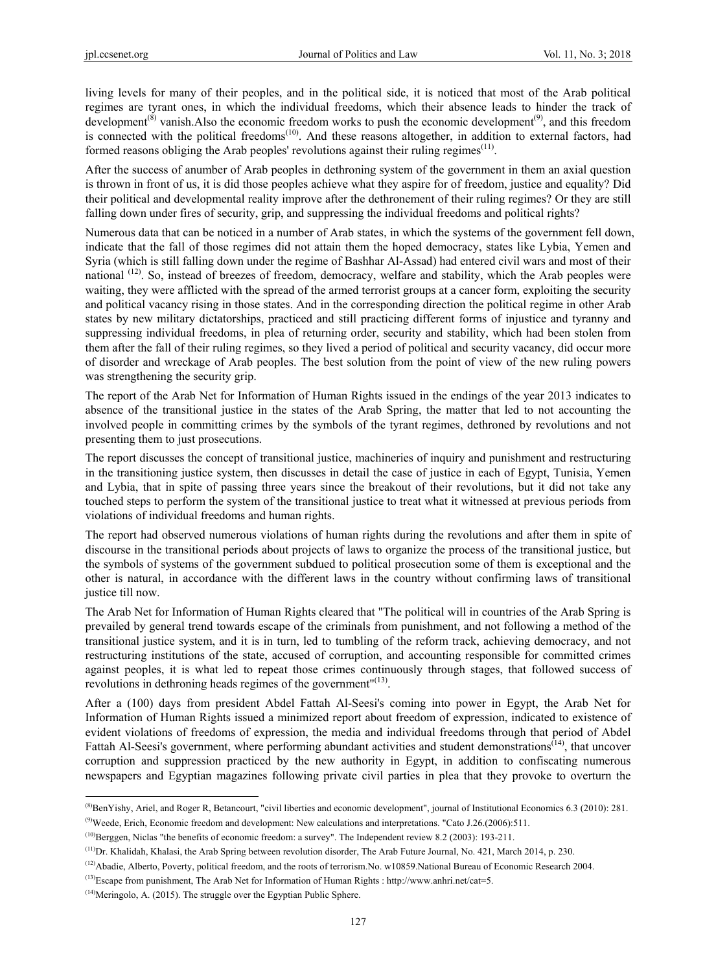living levels for many of their peoples, and in the political side, it is noticed that most of the Arab political regimes are tyrant ones, in which the individual freedoms, which their absence leads to hinder the track of development<sup>(8)</sup> vanish. Also the economic freedom works to push the economic development<sup>(9)</sup>, and this freedom is connected with the political freedoms<sup>(10)</sup>. And these reasons altogether, in addition to external factors, had formed reasons obliging the Arab peoples' revolutions against their ruling regimes<sup>(11)</sup>.

After the success of anumber of Arab peoples in dethroning system of the government in them an axial question is thrown in front of us, it is did those peoples achieve what they aspire for of freedom, justice and equality? Did their political and developmental reality improve after the dethronement of their ruling regimes? Or they are still falling down under fires of security, grip, and suppressing the individual freedoms and political rights?

Numerous data that can be noticed in a number of Arab states, in which the systems of the government fell down, indicate that the fall of those regimes did not attain them the hoped democracy, states like Lybia, Yemen and Syria (which is still falling down under the regime of Bashhar Al-Assad) had entered civil wars and most of their national <sup>(12)</sup>. So, instead of breezes of freedom, democracy, welfare and stability, which the Arab peoples were waiting, they were afflicted with the spread of the armed terrorist groups at a cancer form, exploiting the security and political vacancy rising in those states. And in the corresponding direction the political regime in other Arab states by new military dictatorships, practiced and still practicing different forms of injustice and tyranny and suppressing individual freedoms, in plea of returning order, security and stability, which had been stolen from them after the fall of their ruling regimes, so they lived a period of political and security vacancy, did occur more of disorder and wreckage of Arab peoples. The best solution from the point of view of the new ruling powers was strengthening the security grip.

The report of the Arab Net for Information of Human Rights issued in the endings of the year 2013 indicates to absence of the transitional justice in the states of the Arab Spring, the matter that led to not accounting the involved people in committing crimes by the symbols of the tyrant regimes, dethroned by revolutions and not presenting them to just prosecutions.

The report discusses the concept of transitional justice, machineries of inquiry and punishment and restructuring in the transitioning justice system, then discusses in detail the case of justice in each of Egypt, Tunisia, Yemen and Lybia, that in spite of passing three years since the breakout of their revolutions, but it did not take any touched steps to perform the system of the transitional justice to treat what it witnessed at previous periods from violations of individual freedoms and human rights.

The report had observed numerous violations of human rights during the revolutions and after them in spite of discourse in the transitional periods about projects of laws to organize the process of the transitional justice, but the symbols of systems of the government subdued to political prosecution some of them is exceptional and the other is natural, in accordance with the different laws in the country without confirming laws of transitional justice till now.

The Arab Net for Information of Human Rights cleared that "The political will in countries of the Arab Spring is prevailed by general trend towards escape of the criminals from punishment, and not following a method of the transitional justice system, and it is in turn, led to tumbling of the reform track, achieving democracy, and not restructuring institutions of the state, accused of corruption, and accounting responsible for committed crimes against peoples, it is what led to repeat those crimes continuously through stages, that followed success of revolutions in dethroning heads regimes of the government<sup> $(13)$ </sup>.

After a (100) days from president Abdel Fattah Al-Seesi's coming into power in Egypt, the Arab Net for Information of Human Rights issued a minimized report about freedom of expression, indicated to existence of evident violations of freedoms of expression, the media and individual freedoms through that period of Abdel Fattah Al-Seesi's government, where performing abundant activities and student demonstrations<sup>(14)</sup>, that uncover corruption and suppression practiced by the new authority in Egypt, in addition to confiscating numerous newspapers and Egyptian magazines following private civil parties in plea that they provoke to overturn the

 $\overline{a}$ 

BenYishy, Ariel, and Roger R, Betancourt, "civil liberties and economic development", journal of Institutional Economics 6.3 (2010): 281. 9 Weede, Erich, Economic freedom and development: New calculations and interpretations. "Cato J.26.(2006):511.

 $\frac{(10)}{2}$ Berggen, Niclas "the benefits of economic freedom: a survey". The Independent review 8.2 (2003): 193-211.

<sup>&</sup>lt;sup>(11)</sup>Dr. Khalidah, Khalasi, the Arab Spring between revolution disorder, The Arab Future Journal, No. 421, March 2014, p. 230.

Abadie, Alberto, Poverty, political freedom, and the roots of terrorism.No. w10859.National Bureau of Economic Research 2004.

<sup>&</sup>lt;sup>(13)</sup>Escape from punishment, The Arab Net for Information of Human Rights : http://www.anhri.net/cat=5.

 $^{(14)}$ Meringolo, A. (2015). The struggle over the Egyptian Public Sphere.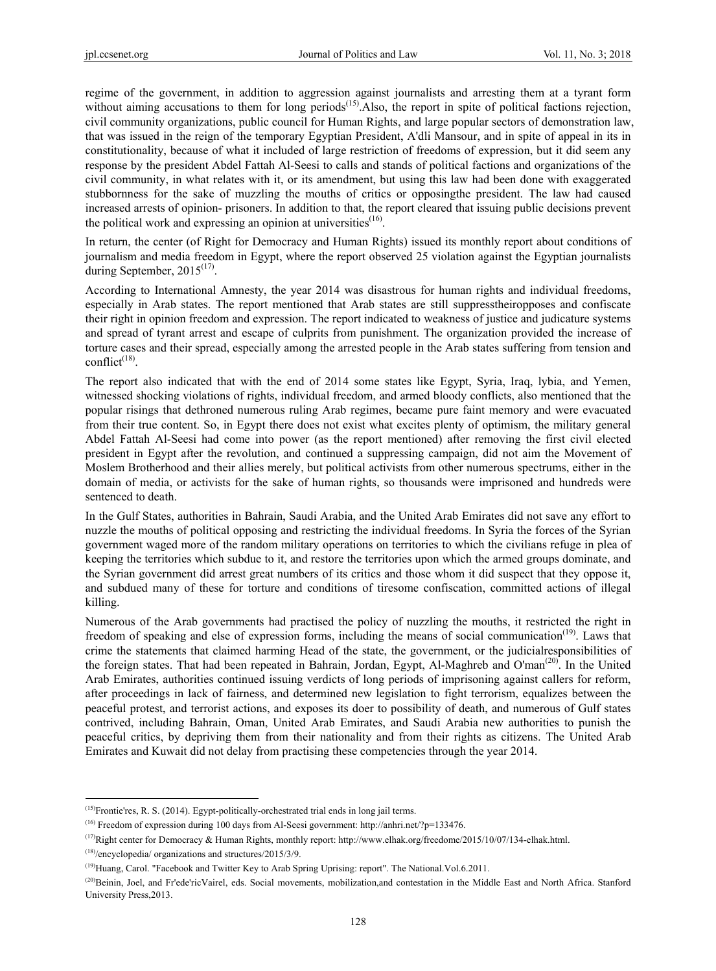regime of the government, in addition to aggression against journalists and arresting them at a tyrant form without aiming accusations to them for long periods<sup> $(15)$ </sup>.Also, the report in spite of political factions rejection, civil community organizations, public council for Human Rights, and large popular sectors of demonstration law, that was issued in the reign of the temporary Egyptian President, A'dli Mansour, and in spite of appeal in its in constitutionality, because of what it included of large restriction of freedoms of expression, but it did seem any response by the president Abdel Fattah Al-Seesi to calls and stands of political factions and organizations of the civil community, in what relates with it, or its amendment, but using this law had been done with exaggerated stubbornness for the sake of muzzling the mouths of critics or opposingthe president. The law had caused increased arrests of opinion- prisoners. In addition to that, the report cleared that issuing public decisions prevent the political work and expressing an opinion at universities $(16)$ .

In return, the center (of Right for Democracy and Human Rights) issued its monthly report about conditions of journalism and media freedom in Egypt, where the report observed 25 violation against the Egyptian journalists during September,  $2015^{(17)}$ .

According to International Amnesty, the year 2014 was disastrous for human rights and individual freedoms, especially in Arab states. The report mentioned that Arab states are still suppresstheiropposes and confiscate their right in opinion freedom and expression. The report indicated to weakness of justice and judicature systems and spread of tyrant arrest and escape of culprits from punishment. The organization provided the increase of torture cases and their spread, especially among the arrested people in the Arab states suffering from tension and  $conflict^{(18)}$ .

The report also indicated that with the end of 2014 some states like Egypt, Syria, Iraq, lybia, and Yemen, witnessed shocking violations of rights, individual freedom, and armed bloody conflicts, also mentioned that the popular risings that dethroned numerous ruling Arab regimes, became pure faint memory and were evacuated from their true content. So, in Egypt there does not exist what excites plenty of optimism, the military general Abdel Fattah Al-Seesi had come into power (as the report mentioned) after removing the first civil elected president in Egypt after the revolution, and continued a suppressing campaign, did not aim the Movement of Moslem Brotherhood and their allies merely, but political activists from other numerous spectrums, either in the domain of media, or activists for the sake of human rights, so thousands were imprisoned and hundreds were sentenced to death.

In the Gulf States, authorities in Bahrain, Saudi Arabia, and the United Arab Emirates did not save any effort to nuzzle the mouths of political opposing and restricting the individual freedoms. In Syria the forces of the Syrian government waged more of the random military operations on territories to which the civilians refuge in plea of keeping the territories which subdue to it, and restore the territories upon which the armed groups dominate, and the Syrian government did arrest great numbers of its critics and those whom it did suspect that they oppose it, and subdued many of these for torture and conditions of tiresome confiscation, committed actions of illegal killing.

Numerous of the Arab governments had practised the policy of nuzzling the mouths, it restricted the right in freedom of speaking and else of expression forms, including the means of social communication<sup>(19)</sup>. Laws that crime the statements that claimed harming Head of the state, the government, or the judicialresponsibilities of the foreign states. That had been repeated in Bahrain, Jordan, Egypt, Al-Maghreb and O'man<sup> $(20)$ </sup>. In the United Arab Emirates, authorities continued issuing verdicts of long periods of imprisoning against callers for reform, after proceedings in lack of fairness, and determined new legislation to fight terrorism, equalizes between the peaceful protest, and terrorist actions, and exposes its doer to possibility of death, and numerous of Gulf states contrived, including Bahrain, Oman, United Arab Emirates, and Saudi Arabia new authorities to punish the peaceful critics, by depriving them from their nationality and from their rights as citizens. The United Arab Emirates and Kuwait did not delay from practising these competencies through the year 2014.

 $\overline{a}$ 

Frontie'res, R. S. (2014). Egypt-politically-orchestrated trial ends in long jail terms.

<sup>16</sup> Freedom of expression during 100 days from Al-Seesi government: http://anhri.net/?p=133476.

<sup>&</sup>lt;sup>(17)</sup>Right center for Democracy & Human Rights, monthly report: http://www.elhak.org/freedome/2015/10/07/134-elhak.html.

<sup>18</sup> /encyclopedia/ organizations and structures/2015/3/9.

<sup>&</sup>lt;sup>(19)</sup>Huang, Carol. "Facebook and Twitter Key to Arab Spring Uprising: report". The National. Vol.6.2011.

<sup>&</sup>lt;sup>(20)</sup>Beinin, Joel, and Fr'ede'ricVairel, eds. Social movements, mobilization,and contestation in the Middle East and North Africa. Stanford University Press,2013.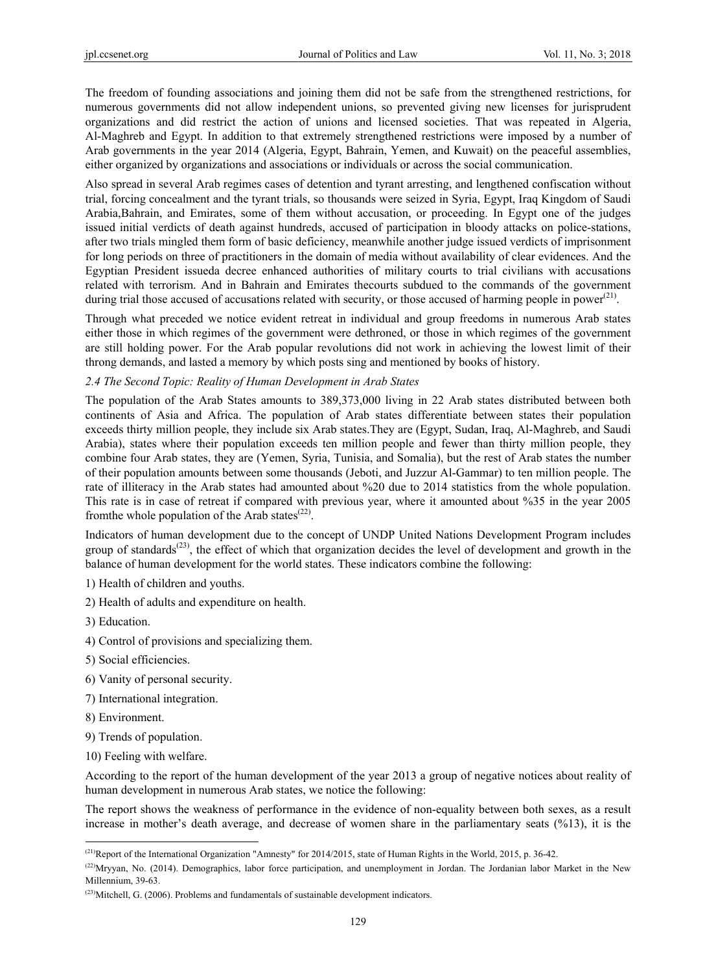The freedom of founding associations and joining them did not be safe from the strengthened restrictions, for numerous governments did not allow independent unions, so prevented giving new licenses for jurisprudent organizations and did restrict the action of unions and licensed societies. That was repeated in Algeria, Al-Maghreb and Egypt. In addition to that extremely strengthened restrictions were imposed by a number of Arab governments in the year 2014 (Algeria, Egypt, Bahrain, Yemen, and Kuwait) on the peaceful assemblies, either organized by organizations and associations or individuals or across the social communication.

Also spread in several Arab regimes cases of detention and tyrant arresting, and lengthened confiscation without trial, forcing concealment and the tyrant trials, so thousands were seized in Syria, Egypt, Iraq Kingdom of Saudi Arabia,Bahrain, and Emirates, some of them without accusation, or proceeding. In Egypt one of the judges issued initial verdicts of death against hundreds, accused of participation in bloody attacks on police-stations, after two trials mingled them form of basic deficiency, meanwhile another judge issued verdicts of imprisonment for long periods on three of practitioners in the domain of media without availability of clear evidences. And the Egyptian President issueda decree enhanced authorities of military courts to trial civilians with accusations related with terrorism. And in Bahrain and Emirates thecourts subdued to the commands of the government during trial those accused of accusations related with security, or those accused of harming people in power<sup>(21)</sup>.

Through what preceded we notice evident retreat in individual and group freedoms in numerous Arab states either those in which regimes of the government were dethroned, or those in which regimes of the government are still holding power. For the Arab popular revolutions did not work in achieving the lowest limit of their throng demands, and lasted a memory by which posts sing and mentioned by books of history.

#### *2.4 The Second Topic: Reality of Human Development in Arab States*

The population of the Arab States amounts to 389,373,000 living in 22 Arab states distributed between both continents of Asia and Africa. The population of Arab states differentiate between states their population exceeds thirty million people, they include six Arab states.They are (Egypt, Sudan, Iraq, Al-Maghreb, and Saudi Arabia), states where their population exceeds ten million people and fewer than thirty million people, they combine four Arab states, they are (Yemen, Syria, Tunisia, and Somalia), but the rest of Arab states the number of their population amounts between some thousands (Jeboti, and Juzzur Al-Gammar) to ten million people. The rate of illiteracy in the Arab states had amounted about %20 due to 2014 statistics from the whole population. This rate is in case of retreat if compared with previous year, where it amounted about %35 in the year 2005 from the whole population of the Arab states<sup> $(22)$ </sup>.

Indicators of human development due to the concept of UNDP United Nations Development Program includes group of standards<sup> $(23)$ </sup>, the effect of which that organization decides the level of development and growth in the balance of human development for the world states. These indicators combine the following:

1) Health of children and youths.

2) Health of adults and expenditure on health.

3) Education.

- 4) Control of provisions and specializing them.
- 5) Social efficiencies.
- 6) Vanity of personal security.
- 7) International integration.
- 8) Environment.

 $\overline{a}$ 

- 9) Trends of population.
- 10) Feeling with welfare.

According to the report of the human development of the year 2013 a group of negative notices about reality of human development in numerous Arab states, we notice the following:

The report shows the weakness of performance in the evidence of non-equality between both sexes, as a result increase in mother's death average, and decrease of women share in the parliamentary seats (%13), it is the

 $^{(21)}$ Report of the International Organization "Amnesty" for 2014/2015, state of Human Rights in the World, 2015, p. 36-42.

<sup>&</sup>lt;sup>(22)</sup>Mryyan, No. (2014). Demographics, labor force participation, and unemployment in Jordan. The Jordanian labor Market in the New Millennium, 39-63.

 $^{(23)}$ Mitchell, G. (2006). Problems and fundamentals of sustainable development indicators.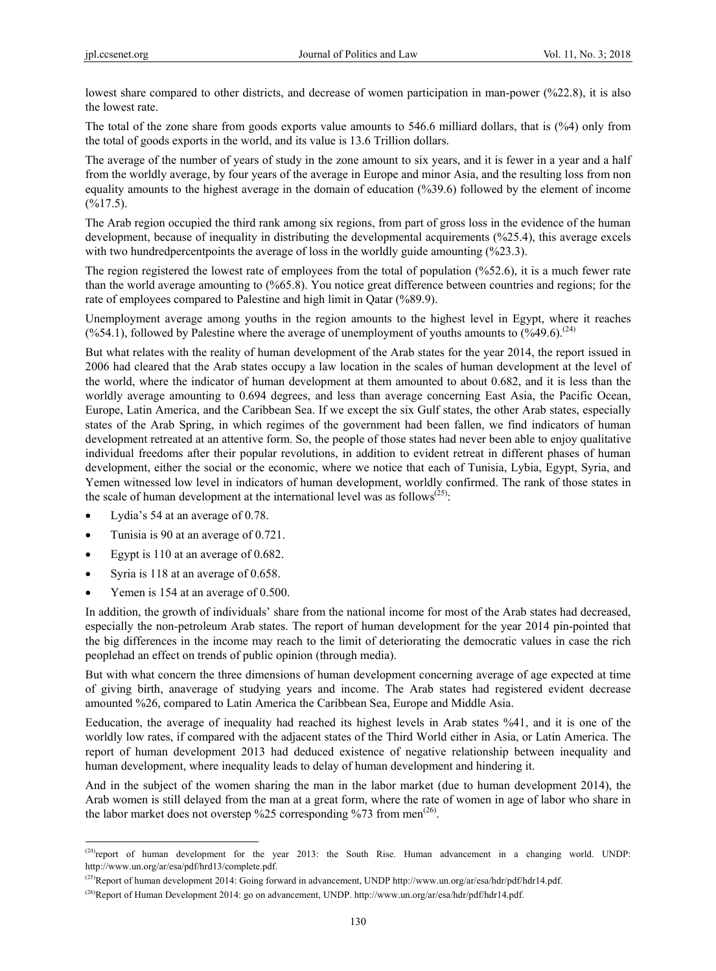lowest share compared to other districts, and decrease of women participation in man-power (%22.8), it is also the lowest rate.

The total of the zone share from goods exports value amounts to 546.6 milliard dollars, that is (%4) only from the total of goods exports in the world, and its value is 13.6 Trillion dollars.

The average of the number of years of study in the zone amount to six years, and it is fewer in a year and a half from the worldly average, by four years of the average in Europe and minor Asia, and the resulting loss from non equality amounts to the highest average in the domain of education (%39.6) followed by the element of income  $($ %17.5).

The Arab region occupied the third rank among six regions, from part of gross loss in the evidence of the human development, because of inequality in distributing the developmental acquirements (%25.4), this average excels with two hundredpercentpoints the average of loss in the worldly guide amounting (%23.3).

The region registered the lowest rate of employees from the total of population (%52.6), it is a much fewer rate than the world average amounting to (%65.8). You notice great difference between countries and regions; for the rate of employees compared to Palestine and high limit in Qatar (%89.9).

Unemployment average among youths in the region amounts to the highest level in Egypt, where it reaches (%54.1), followed by Palestine where the average of unemployment of youths amounts to (%49.6).<sup>(24)</sup>

But what relates with the reality of human development of the Arab states for the year 2014, the report issued in 2006 had cleared that the Arab states occupy a law location in the scales of human development at the level of the world, where the indicator of human development at them amounted to about 0.682, and it is less than the worldly average amounting to 0.694 degrees, and less than average concerning East Asia, the Pacific Ocean, Europe, Latin America, and the Caribbean Sea. If we except the six Gulf states, the other Arab states, especially states of the Arab Spring, in which regimes of the government had been fallen, we find indicators of human development retreated at an attentive form. So, the people of those states had never been able to enjoy qualitative individual freedoms after their popular revolutions, in addition to evident retreat in different phases of human development, either the social or the economic, where we notice that each of Tunisia, Lybia, Egypt, Syria, and Yemen witnessed low level in indicators of human development, worldly confirmed. The rank of those states in the scale of human development at the international level was as follows<sup> $(25)$ </sup>.

- Lydia's 54 at an average of 0.78.
- Tunisia is 90 at an average of 0.721.
- Egypt is 110 at an average of 0.682.
- Syria is 118 at an average of 0.658.

 $\overline{a}$ 

Yemen is 154 at an average of 0.500.

In addition, the growth of individuals' share from the national income for most of the Arab states had decreased, especially the non-petroleum Arab states. The report of human development for the year 2014 pin-pointed that the big differences in the income may reach to the limit of deteriorating the democratic values in case the rich peoplehad an effect on trends of public opinion (through media).

But with what concern the three dimensions of human development concerning average of age expected at time of giving birth, anaverage of studying years and income. The Arab states had registered evident decrease amounted %26, compared to Latin America the Caribbean Sea, Europe and Middle Asia.

Eeducation, the average of inequality had reached its highest levels in Arab states %41, and it is one of the worldly low rates, if compared with the adjacent states of the Third World either in Asia, or Latin America. The report of human development 2013 had deduced existence of negative relationship between inequality and human development, where inequality leads to delay of human development and hindering it.

And in the subject of the women sharing the man in the labor market (due to human development 2014), the Arab women is still delayed from the man at a great form, where the rate of women in age of labor who share in the labor market does not overstep  $\frac{625}{25}$  corresponding %73 from men<sup>(26)</sup>.

 $^{(24)}$ report of human development for the year 2013: the South Rise. Human advancement in a changing world. UNDP: http://www.un.org/ar/esa/pdf/hrd13/complete.pdf.

<sup>&</sup>lt;sup>(25)</sup>Report of human development 2014: Going forward in advancement, UNDP http://www.un.org/ar/esa/hdr/pdf/hdr14.pdf.

<sup>&</sup>lt;sup>(26)</sup>Report of Human Development 2014: go on advancement, UNDP. http://www.un.org/ar/esa/hdr/pdf/hdr14.pdf.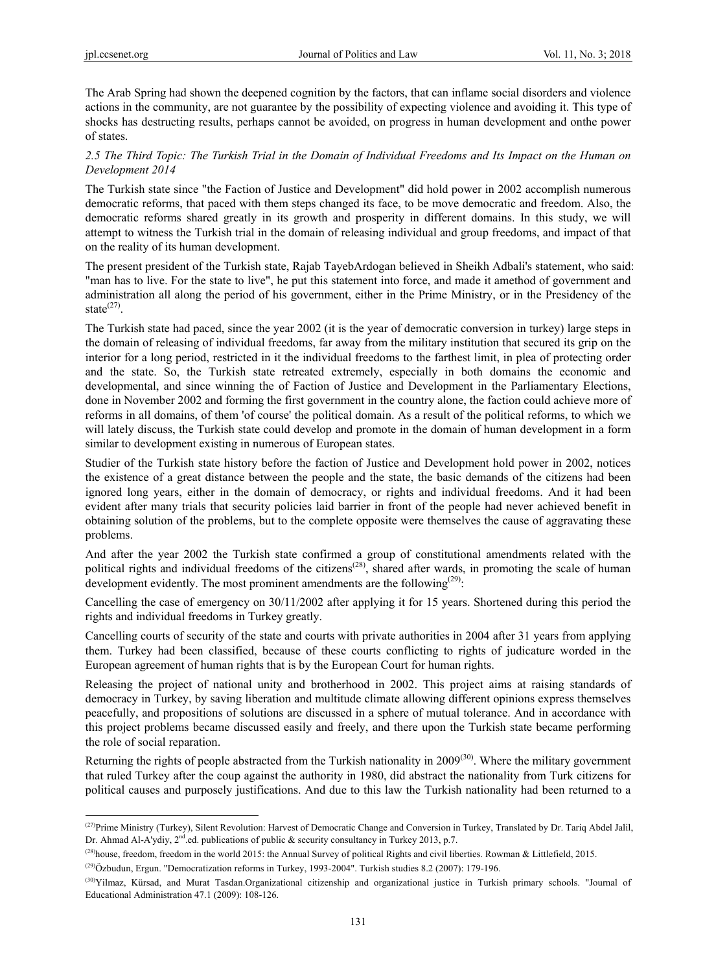The Arab Spring had shown the deepened cognition by the factors, that can inflame social disorders and violence actions in the community, are not guarantee by the possibility of expecting violence and avoiding it. This type of shocks has destructing results, perhaps cannot be avoided, on progress in human development and onthe power of states.

## *2.5 The Third Topic: The Turkish Trial in the Domain of Individual Freedoms and Its Impact on the Human on Development 2014*

The Turkish state since "the Faction of Justice and Development" did hold power in 2002 accomplish numerous democratic reforms, that paced with them steps changed its face, to be move democratic and freedom. Also, the democratic reforms shared greatly in its growth and prosperity in different domains. In this study, we will attempt to witness the Turkish trial in the domain of releasing individual and group freedoms, and impact of that on the reality of its human development.

The present president of the Turkish state, Rajab TayebArdogan believed in Sheikh Adbali's statement, who said: "man has to live. For the state to live", he put this statement into force, and made it amethod of government and administration all along the period of his government, either in the Prime Ministry, or in the Presidency of the state $^{(27)}$ .

The Turkish state had paced, since the year 2002 (it is the year of democratic conversion in turkey) large steps in the domain of releasing of individual freedoms, far away from the military institution that secured its grip on the interior for a long period, restricted in it the individual freedoms to the farthest limit, in plea of protecting order and the state. So, the Turkish state retreated extremely, especially in both domains the economic and developmental, and since winning the of Faction of Justice and Development in the Parliamentary Elections, done in November 2002 and forming the first government in the country alone, the faction could achieve more of reforms in all domains, of them 'of course' the political domain. As a result of the political reforms, to which we will lately discuss, the Turkish state could develop and promote in the domain of human development in a form similar to development existing in numerous of European states.

Studier of the Turkish state history before the faction of Justice and Development hold power in 2002, notices the existence of a great distance between the people and the state, the basic demands of the citizens had been ignored long years, either in the domain of democracy, or rights and individual freedoms. And it had been evident after many trials that security policies laid barrier in front of the people had never achieved benefit in obtaining solution of the problems, but to the complete opposite were themselves the cause of aggravating these problems.

And after the year 2002 the Turkish state confirmed a group of constitutional amendments related with the political rights and individual freedoms of the citizens<sup>(28)</sup>, shared after wards, in promoting the scale of human development evidently. The most prominent amendments are the following<sup> $(29)$ </sup>:

Cancelling the case of emergency on 30/11/2002 after applying it for 15 years. Shortened during this period the rights and individual freedoms in Turkey greatly.

Cancelling courts of security of the state and courts with private authorities in 2004 after 31 years from applying them. Turkey had been classified, because of these courts conflicting to rights of judicature worded in the European agreement of human rights that is by the European Court for human rights.

Releasing the project of national unity and brotherhood in 2002. This project aims at raising standards of democracy in Turkey, by saving liberation and multitude climate allowing different opinions express themselves peacefully, and propositions of solutions are discussed in a sphere of mutual tolerance. And in accordance with this project problems became discussed easily and freely, and there upon the Turkish state became performing the role of social reparation.

Returning the rights of people abstracted from the Turkish nationality in  $2009^{(30)}$ . Where the military government that ruled Turkey after the coup against the authority in 1980, did abstract the nationality from Turk citizens for political causes and purposely justifications. And due to this law the Turkish nationality had been returned to a

<sup>&</sup>lt;sup>(27)</sup>Prime Ministry (Turkey), Silent Revolution: Harvest of Democratic Change and Conversion in Turkey, Translated by Dr. Tariq Abdel Jalil, Dr. Ahmad Al-A'ydiy, 2<sup>nd</sup>.ed. publications of public & security consultancy in Turkey 2013, p.7.

<sup>&</sup>lt;sup>28)</sup>house, freedom, freedom in the world 2015: the Annual Survey of political Rights and civil liberties. Rowman & Littlefield, 2015.

<sup>&</sup>lt;sup>(29)</sup>Özbudun, Ergun. "Democratization reforms in Turkey, 1993-2004". Turkish studies 8.2 (2007): 179-196.

<sup>&</sup>lt;sup>(30)</sup>Yilmaz, Kürsad, and Murat Tasdan.Organizational citizenship and organizational justice in Turkish primary schools. "Journal of Educational Administration 47.1 (2009): 108-126.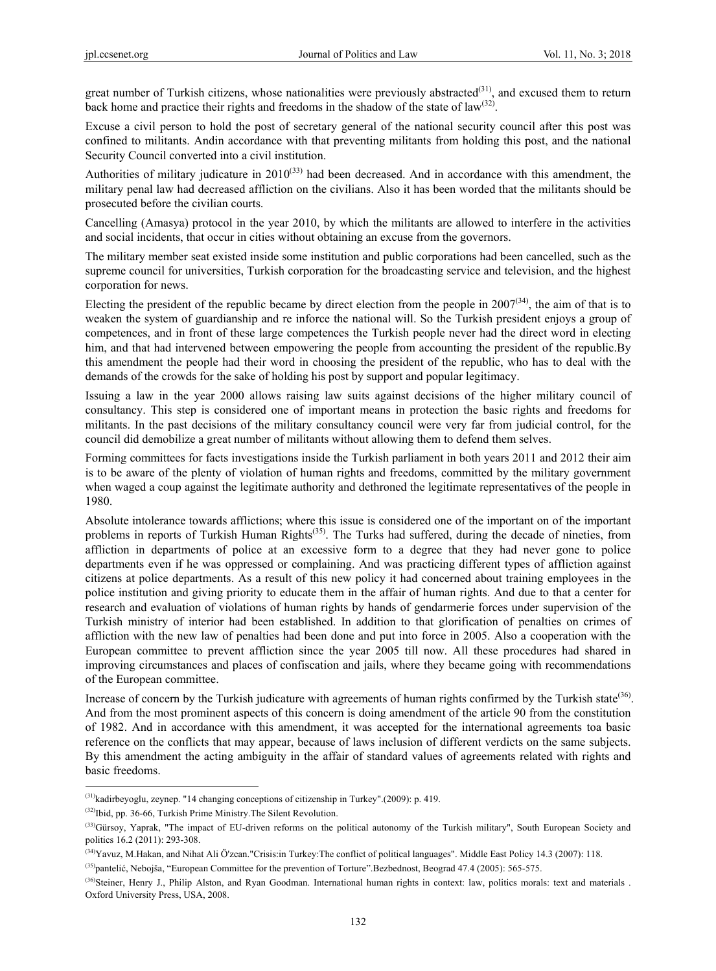great number of Turkish citizens, whose nationalities were previously abstracted $^{(31)}$ , and excused them to return back home and practice their rights and freedoms in the shadow of the state of  $law^{(32)}$ .

Excuse a civil person to hold the post of secretary general of the national security council after this post was confined to militants. Andin accordance with that preventing militants from holding this post, and the national Security Council converted into a civil institution.

Authorities of military judicature in  $2010^{(3)}$  had been decreased. And in accordance with this amendment, the military penal law had decreased affliction on the civilians. Also it has been worded that the militants should be prosecuted before the civilian courts.

Cancelling (Amasya) protocol in the year 2010, by which the militants are allowed to interfere in the activities and social incidents, that occur in cities without obtaining an excuse from the governors.

The military member seat existed inside some institution and public corporations had been cancelled, such as the supreme council for universities, Turkish corporation for the broadcasting service and television, and the highest corporation for news.

Electing the president of the republic became by direct election from the people in  $2007^{(34)}$ , the aim of that is to weaken the system of guardianship and re inforce the national will. So the Turkish president enjoys a group of competences, and in front of these large competences the Turkish people never had the direct word in electing him, and that had intervened between empowering the people from accounting the president of the republic.By this amendment the people had their word in choosing the president of the republic, who has to deal with the demands of the crowds for the sake of holding his post by support and popular legitimacy.

Issuing a law in the year 2000 allows raising law suits against decisions of the higher military council of consultancy. This step is considered one of important means in protection the basic rights and freedoms for militants. In the past decisions of the military consultancy council were very far from judicial control, for the council did demobilize a great number of militants without allowing them to defend them selves.

Forming committees for facts investigations inside the Turkish parliament in both years 2011 and 2012 their aim is to be aware of the plenty of violation of human rights and freedoms, committed by the military government when waged a coup against the legitimate authority and dethroned the legitimate representatives of the people in 1980.

Absolute intolerance towards afflictions; where this issue is considered one of the important on of the important problems in reports of Turkish Human Rights<sup>(35)</sup>. The Turks had suffered, during the decade of nineties, from affliction in departments of police at an excessive form to a degree that they had never gone to police departments even if he was oppressed or complaining. And was practicing different types of affliction against citizens at police departments. As a result of this new policy it had concerned about training employees in the police institution and giving priority to educate them in the affair of human rights. And due to that a center for research and evaluation of violations of human rights by hands of gendarmerie forces under supervision of the Turkish ministry of interior had been established. In addition to that glorification of penalties on crimes of affliction with the new law of penalties had been done and put into force in 2005. Also a cooperation with the European committee to prevent affliction since the year 2005 till now. All these procedures had shared in improving circumstances and places of confiscation and jails, where they became going with recommendations of the European committee.

Increase of concern by the Turkish judicature with agreements of human rights confirmed by the Turkish state<sup>(36)</sup>. And from the most prominent aspects of this concern is doing amendment of the article 90 from the constitution of 1982. And in accordance with this amendment, it was accepted for the international agreements toa basic reference on the conflicts that may appear, because of laws inclusion of different verdicts on the same subjects. By this amendment the acting ambiguity in the affair of standard values of agreements related with rights and basic freedoms.

 $\overline{a}$ 

 $^{(31)}$ kadirbeyoglu, zeynep. "14 changing conceptions of citizenship in Turkey".(2009): p. 419.

 $^{(32)}$ Ibid, pp. 36-66, Turkish Prime Ministry. The Silent Revolution.

<sup>&</sup>lt;sup>(33)</sup>Gürsoy, Yaprak, "The impact of EU-driven reforms on the political autonomy of the Turkish military", South European Society and politics 16.2 (2011): 293-308.

<sup>34</sup> Yavuz, M.Hakan, and Nihat Ali Ö'zcan."Crisis:in Turkey:The conflict of political languages". Middle East Policy 14.3 (2007): 118.

<sup>&</sup>lt;sup>(35)</sup>pantelić, Nebojša, "European Committee for the prevention of Torture".Bezbednost, Beograd 47.4 (2005): 565-575.

<sup>&</sup>lt;sup>(36</sup>Steiner, Henry J., Philip Alston, and Ryan Goodman. International human rights in context: law, politics morals: text and materials. Oxford University Press, USA, 2008.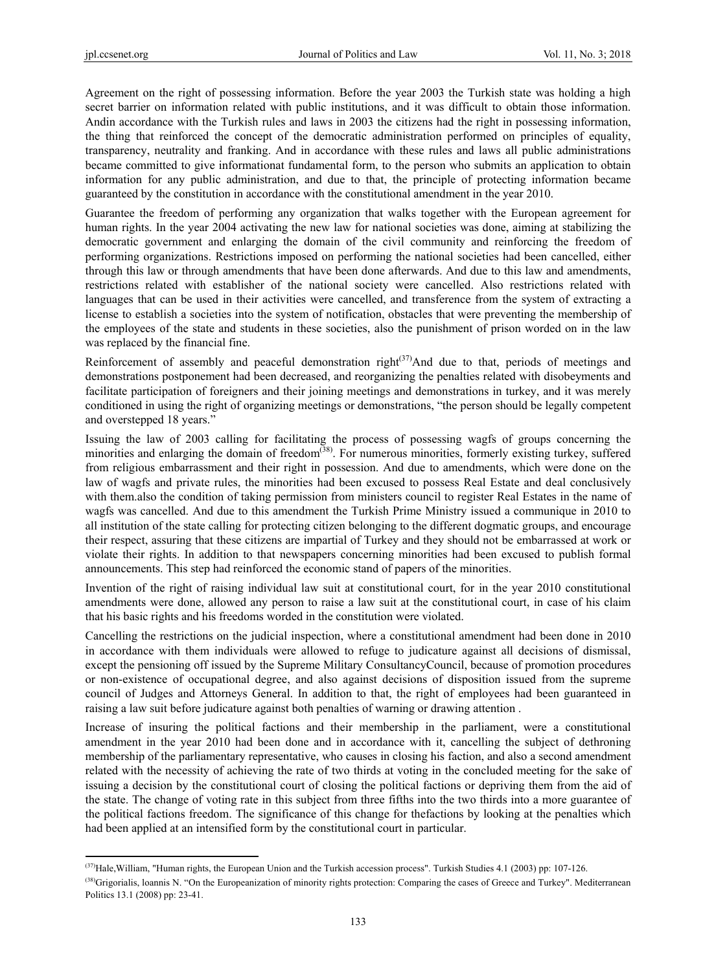Agreement on the right of possessing information. Before the year 2003 the Turkish state was holding a high secret barrier on information related with public institutions, and it was difficult to obtain those information. Andin accordance with the Turkish rules and laws in 2003 the citizens had the right in possessing information, the thing that reinforced the concept of the democratic administration performed on principles of equality, transparency, neutrality and franking. And in accordance with these rules and laws all public administrations became committed to give informationat fundamental form, to the person who submits an application to obtain information for any public administration, and due to that, the principle of protecting information became guaranteed by the constitution in accordance with the constitutional amendment in the year 2010.

Guarantee the freedom of performing any organization that walks together with the European agreement for human rights. In the year 2004 activating the new law for national societies was done, aiming at stabilizing the democratic government and enlarging the domain of the civil community and reinforcing the freedom of performing organizations. Restrictions imposed on performing the national societies had been cancelled, either through this law or through amendments that have been done afterwards. And due to this law and amendments, restrictions related with establisher of the national society were cancelled. Also restrictions related with languages that can be used in their activities were cancelled, and transference from the system of extracting a license to establish a societies into the system of notification, obstacles that were preventing the membership of the employees of the state and students in these societies, also the punishment of prison worded on in the law was replaced by the financial fine.

Reinforcement of assembly and peaceful demonstration right<sup>(37)</sup>And due to that, periods of meetings and demonstrations postponement had been decreased, and reorganizing the penalties related with disobeyments and facilitate participation of foreigners and their joining meetings and demonstrations in turkey, and it was merely conditioned in using the right of organizing meetings or demonstrations, "the person should be legally competent and overstepped 18 years."

Issuing the law of 2003 calling for facilitating the process of possessing wagfs of groups concerning the minorities and enlarging the domain of freedom<sup>(38)</sup>. For numerous minorities, formerly existing turkey, suffered from religious embarrassment and their right in possession. And due to amendments, which were done on the law of wagfs and private rules, the minorities had been excused to possess Real Estate and deal conclusively with them.also the condition of taking permission from ministers council to register Real Estates in the name of wagfs was cancelled. And due to this amendment the Turkish Prime Ministry issued a communique in 2010 to all institution of the state calling for protecting citizen belonging to the different dogmatic groups, and encourage their respect, assuring that these citizens are impartial of Turkey and they should not be embarrassed at work or violate their rights. In addition to that newspapers concerning minorities had been excused to publish formal announcements. This step had reinforced the economic stand of papers of the minorities.

Invention of the right of raising individual law suit at constitutional court, for in the year 2010 constitutional amendments were done, allowed any person to raise a law suit at the constitutional court, in case of his claim that his basic rights and his freedoms worded in the constitution were violated.

Cancelling the restrictions on the judicial inspection, where a constitutional amendment had been done in 2010 in accordance with them individuals were allowed to refuge to judicature against all decisions of dismissal, except the pensioning off issued by the Supreme Military ConsultancyCouncil, because of promotion procedures or non-existence of occupational degree, and also against decisions of disposition issued from the supreme council of Judges and Attorneys General. In addition to that, the right of employees had been guaranteed in raising a law suit before judicature against both penalties of warning or drawing attention .

Increase of insuring the political factions and their membership in the parliament, were a constitutional amendment in the year 2010 had been done and in accordance with it, cancelling the subject of dethroning membership of the parliamentary representative, who causes in closing his faction, and also a second amendment related with the necessity of achieving the rate of two thirds at voting in the concluded meeting for the sake of issuing a decision by the constitutional court of closing the political factions or depriving them from the aid of the state. The change of voting rate in this subject from three fifths into the two thirds into a more guarantee of the political factions freedom. The significance of this change for thefactions by looking at the penalties which had been applied at an intensified form by the constitutional court in particular.

<sup>(37)</sup>Hale,William, "Human rights, the European Union and the Turkish accession process". Turkish Studies 4.1 (2003) pp: 107-126.

<sup>&</sup>lt;sup>(38)</sup>Grigorialis, loannis N. "On the Europeanization of minority rights protection: Comparing the cases of Greece and Turkey". Mediterranean Politics 13.1 (2008) pp: 23-41.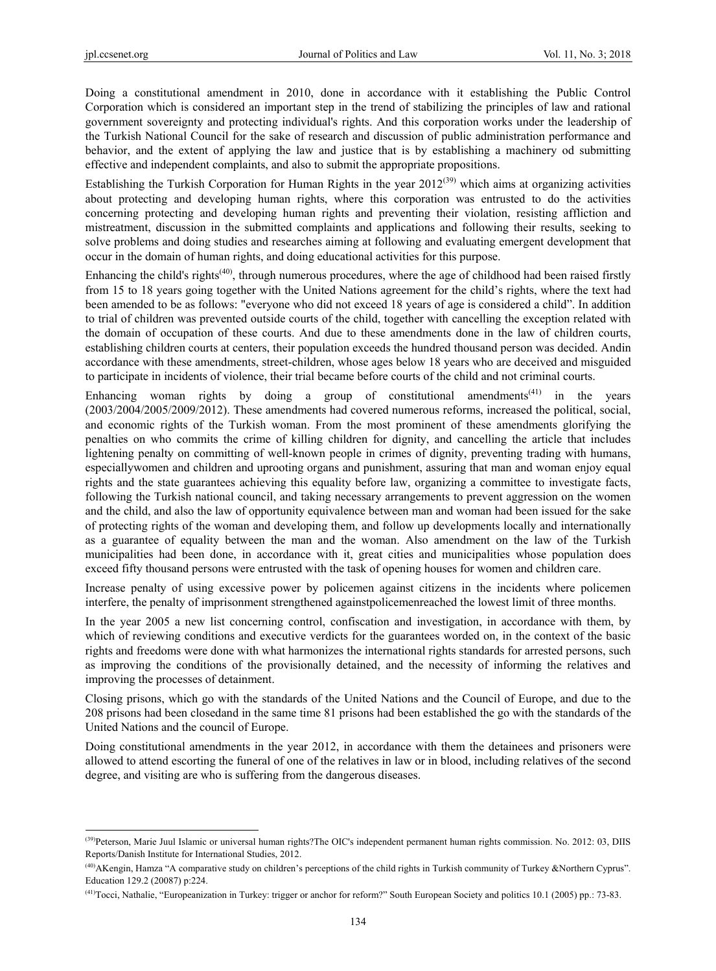Doing a constitutional amendment in 2010, done in accordance with it establishing the Public Control Corporation which is considered an important step in the trend of stabilizing the principles of law and rational government sovereignty and protecting individual's rights. And this corporation works under the leadership of the Turkish National Council for the sake of research and discussion of public administration performance and behavior, and the extent of applying the law and justice that is by establishing a machinery od submitting effective and independent complaints, and also to submit the appropriate propositions.

Establishing the Turkish Corporation for Human Rights in the year  $2012^{(39)}$  which aims at organizing activities about protecting and developing human rights, where this corporation was entrusted to do the activities concerning protecting and developing human rights and preventing their violation, resisting affliction and mistreatment, discussion in the submitted complaints and applications and following their results, seeking to solve problems and doing studies and researches aiming at following and evaluating emergent development that occur in the domain of human rights, and doing educational activities for this purpose.

Enhancing the child's rights<sup> $(40)$ </sup>, through numerous procedures, where the age of childhood had been raised firstly from 15 to 18 years going together with the United Nations agreement for the child's rights, where the text had been amended to be as follows: "everyone who did not exceed 18 years of age is considered a child". In addition to trial of children was prevented outside courts of the child, together with cancelling the exception related with the domain of occupation of these courts. And due to these amendments done in the law of children courts, establishing children courts at centers, their population exceeds the hundred thousand person was decided. Andin accordance with these amendments, street-children, whose ages below 18 years who are deceived and misguided to participate in incidents of violence, their trial became before courts of the child and not criminal courts.

Enhancing woman rights by doing a group of constitutional amendments<sup> $(41)$ </sup> in the years (2003/2004/2005/2009/2012). These amendments had covered numerous reforms, increased the political, social, and economic rights of the Turkish woman. From the most prominent of these amendments glorifying the penalties on who commits the crime of killing children for dignity, and cancelling the article that includes lightening penalty on committing of well-known people in crimes of dignity, preventing trading with humans, especiallywomen and children and uprooting organs and punishment, assuring that man and woman enjoy equal rights and the state guarantees achieving this equality before law, organizing a committee to investigate facts, following the Turkish national council, and taking necessary arrangements to prevent aggression on the women and the child, and also the law of opportunity equivalence between man and woman had been issued for the sake of protecting rights of the woman and developing them, and follow up developments locally and internationally as a guarantee of equality between the man and the woman. Also amendment on the law of the Turkish municipalities had been done, in accordance with it, great cities and municipalities whose population does exceed fifty thousand persons were entrusted with the task of opening houses for women and children care.

Increase penalty of using excessive power by policemen against citizens in the incidents where policemen interfere, the penalty of imprisonment strengthened againstpolicemenreached the lowest limit of three months.

In the year 2005 a new list concerning control, confiscation and investigation, in accordance with them, by which of reviewing conditions and executive verdicts for the guarantees worded on, in the context of the basic rights and freedoms were done with what harmonizes the international rights standards for arrested persons, such as improving the conditions of the provisionally detained, and the necessity of informing the relatives and improving the processes of detainment.

Closing prisons, which go with the standards of the United Nations and the Council of Europe, and due to the 208 prisons had been closedand in the same time 81 prisons had been established the go with the standards of the United Nations and the council of Europe.

Doing constitutional amendments in the year 2012, in accordance with them the detainees and prisoners were allowed to attend escorting the funeral of one of the relatives in law or in blood, including relatives of the second degree, and visiting are who is suffering from the dangerous diseases.

<sup>&</sup>lt;sup>(39)</sup>Peterson, Marie Juul Islamic or universal human rights?The OIC's independent permanent human rights commission. No. 2012: 03, DIIS Reports/Danish Institute for International Studies, 2012.

<sup>(40)</sup>AKengin, Hamza "A comparative study on children's perceptions of the child rights in Turkish community of Turkey &Northern Cyprus". Education 129.2 (20087) p:224.

<sup>(41)</sup>Tocci, Nathalie, "Europeanization in Turkey: trigger or anchor for reform?" South European Society and politics 10.1 (2005) pp.: 73-83.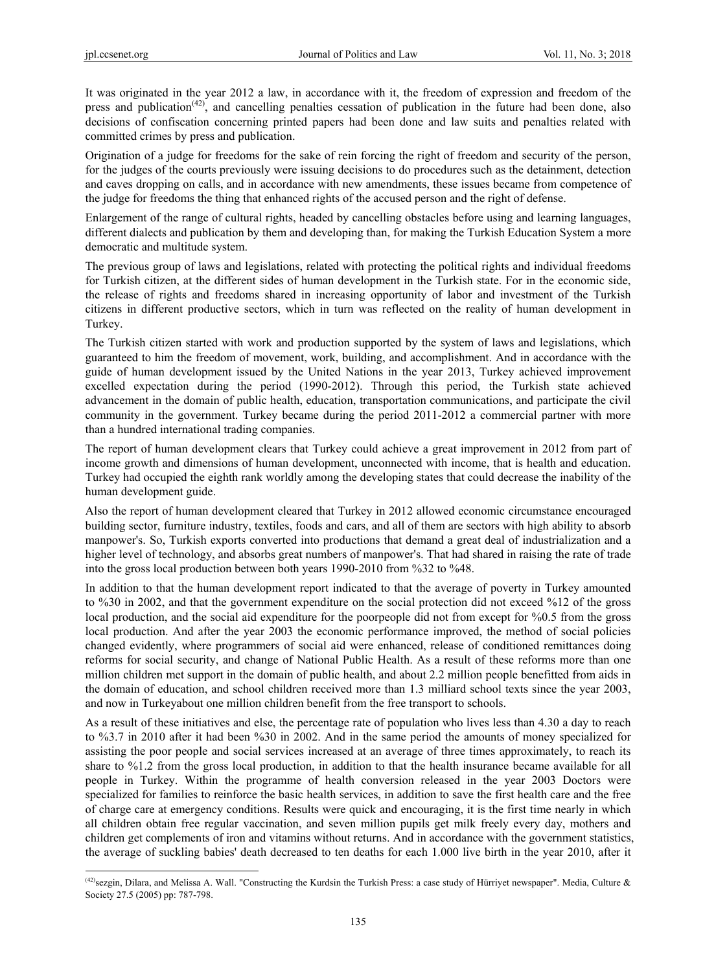It was originated in the year 2012 a law, in accordance with it, the freedom of expression and freedom of the press and publication<sup>(42)</sup>, and cancelling penalties cessation of publication in the future had been done, also decisions of confiscation concerning printed papers had been done and law suits and penalties related with committed crimes by press and publication.

Origination of a judge for freedoms for the sake of rein forcing the right of freedom and security of the person, for the judges of the courts previously were issuing decisions to do procedures such as the detainment, detection and caves dropping on calls, and in accordance with new amendments, these issues became from competence of the judge for freedoms the thing that enhanced rights of the accused person and the right of defense.

Enlargement of the range of cultural rights, headed by cancelling obstacles before using and learning languages, different dialects and publication by them and developing than, for making the Turkish Education System a more democratic and multitude system.

The previous group of laws and legislations, related with protecting the political rights and individual freedoms for Turkish citizen, at the different sides of human development in the Turkish state. For in the economic side, the release of rights and freedoms shared in increasing opportunity of labor and investment of the Turkish citizens in different productive sectors, which in turn was reflected on the reality of human development in Turkey.

The Turkish citizen started with work and production supported by the system of laws and legislations, which guaranteed to him the freedom of movement, work, building, and accomplishment. And in accordance with the guide of human development issued by the United Nations in the year 2013, Turkey achieved improvement excelled expectation during the period (1990-2012). Through this period, the Turkish state achieved advancement in the domain of public health, education, transportation communications, and participate the civil community in the government. Turkey became during the period 2011-2012 a commercial partner with more than a hundred international trading companies.

The report of human development clears that Turkey could achieve a great improvement in 2012 from part of income growth and dimensions of human development, unconnected with income, that is health and education. Turkey had occupied the eighth rank worldly among the developing states that could decrease the inability of the human development guide.

Also the report of human development cleared that Turkey in 2012 allowed economic circumstance encouraged building sector, furniture industry, textiles, foods and cars, and all of them are sectors with high ability to absorb manpower's. So, Turkish exports converted into productions that demand a great deal of industrialization and a higher level of technology, and absorbs great numbers of manpower's. That had shared in raising the rate of trade into the gross local production between both years 1990-2010 from %32 to %48.

In addition to that the human development report indicated to that the average of poverty in Turkey amounted to %30 in 2002, and that the government expenditure on the social protection did not exceed %12 of the gross local production, and the social aid expenditure for the poorpeople did not from except for %0.5 from the gross local production. And after the year 2003 the economic performance improved, the method of social policies changed evidently, where programmers of social aid were enhanced, release of conditioned remittances doing reforms for social security, and change of National Public Health. As a result of these reforms more than one million children met support in the domain of public health, and about 2.2 million people benefitted from aids in the domain of education, and school children received more than 1.3 milliard school texts since the year 2003, and now in Turkeyabout one million children benefit from the free transport to schools.

As a result of these initiatives and else, the percentage rate of population who lives less than 4.30 a day to reach to %3.7 in 2010 after it had been %30 in 2002. And in the same period the amounts of money specialized for assisting the poor people and social services increased at an average of three times approximately, to reach its share to %1.2 from the gross local production, in addition to that the health insurance became available for all people in Turkey. Within the programme of health conversion released in the year 2003 Doctors were specialized for families to reinforce the basic health services, in addition to save the first health care and the free of charge care at emergency conditions. Results were quick and encouraging, it is the first time nearly in which all children obtain free regular vaccination, and seven million pupils get milk freely every day, mothers and children get complements of iron and vitamins without returns. And in accordance with the government statistics, the average of suckling babies' death decreased to ten deaths for each 1.000 live birth in the year 2010, after it

 $^{(42)}$ sezgin, Dilara, and Melissa A. Wall. "Constructing the Kurdsin the Turkish Press: a case study of Hürriyet newspaper". Media, Culture & Society 27.5 (2005) pp: 787-798.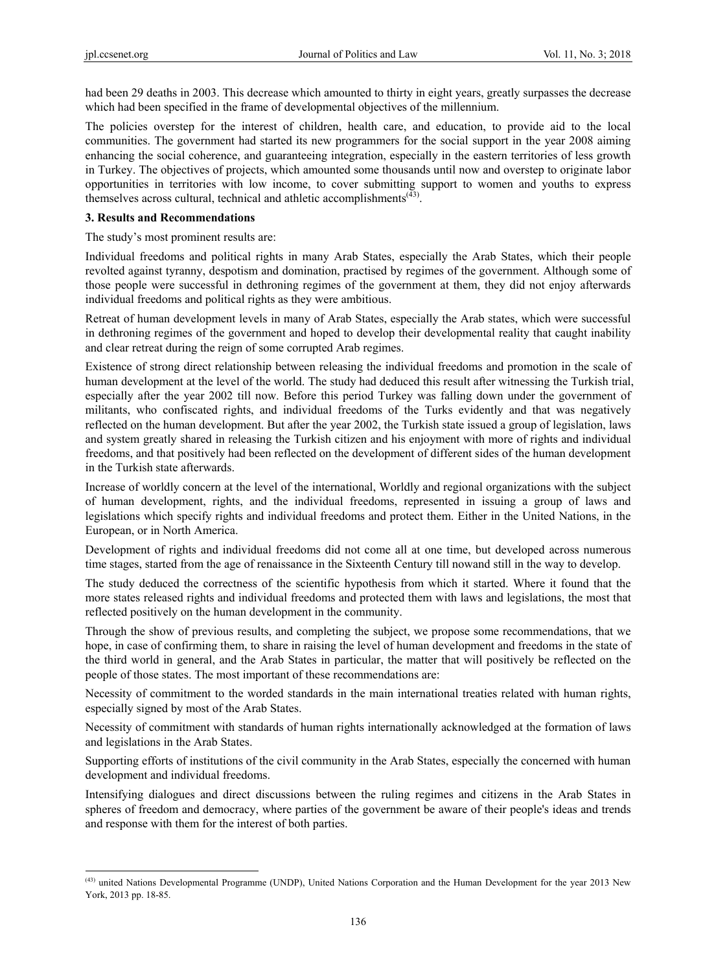had been 29 deaths in 2003. This decrease which amounted to thirty in eight years, greatly surpasses the decrease which had been specified in the frame of developmental objectives of the millennium.

The policies overstep for the interest of children, health care, and education, to provide aid to the local communities. The government had started its new programmers for the social support in the year 2008 aiming enhancing the social coherence, and guaranteeing integration, especially in the eastern territories of less growth in Turkey. The objectives of projects, which amounted some thousands until now and overstep to originate labor opportunities in territories with low income, to cover submitting support to women and youths to express themselves across cultural, technical and athletic accomplishments $(43)$ .

#### **3. Results and Recommendations**

The study's most prominent results are:

Individual freedoms and political rights in many Arab States, especially the Arab States, which their people revolted against tyranny, despotism and domination, practised by regimes of the government. Although some of those people were successful in dethroning regimes of the government at them, they did not enjoy afterwards individual freedoms and political rights as they were ambitious.

Retreat of human development levels in many of Arab States, especially the Arab states, which were successful in dethroning regimes of the government and hoped to develop their developmental reality that caught inability and clear retreat during the reign of some corrupted Arab regimes.

Existence of strong direct relationship between releasing the individual freedoms and promotion in the scale of human development at the level of the world. The study had deduced this result after witnessing the Turkish trial, especially after the year 2002 till now. Before this period Turkey was falling down under the government of militants, who confiscated rights, and individual freedoms of the Turks evidently and that was negatively reflected on the human development. But after the year 2002, the Turkish state issued a group of legislation, laws and system greatly shared in releasing the Turkish citizen and his enjoyment with more of rights and individual freedoms, and that positively had been reflected on the development of different sides of the human development in the Turkish state afterwards.

Increase of worldly concern at the level of the international, Worldly and regional organizations with the subject of human development, rights, and the individual freedoms, represented in issuing a group of laws and legislations which specify rights and individual freedoms and protect them. Either in the United Nations, in the European, or in North America.

Development of rights and individual freedoms did not come all at one time, but developed across numerous time stages, started from the age of renaissance in the Sixteenth Century till nowand still in the way to develop.

The study deduced the correctness of the scientific hypothesis from which it started. Where it found that the more states released rights and individual freedoms and protected them with laws and legislations, the most that reflected positively on the human development in the community.

Through the show of previous results, and completing the subject, we propose some recommendations, that we hope, in case of confirming them, to share in raising the level of human development and freedoms in the state of the third world in general, and the Arab States in particular, the matter that will positively be reflected on the people of those states. The most important of these recommendations are:

Necessity of commitment to the worded standards in the main international treaties related with human rights, especially signed by most of the Arab States.

Necessity of commitment with standards of human rights internationally acknowledged at the formation of laws and legislations in the Arab States.

Supporting efforts of institutions of the civil community in the Arab States, especially the concerned with human development and individual freedoms.

Intensifying dialogues and direct discussions between the ruling regimes and citizens in the Arab States in spheres of freedom and democracy, where parties of the government be aware of their people's ideas and trends and response with them for the interest of both parties.

<sup>(43)</sup> united Nations Developmental Programme (UNDP), United Nations Corporation and the Human Development for the year 2013 New York, 2013 pp. 18-85.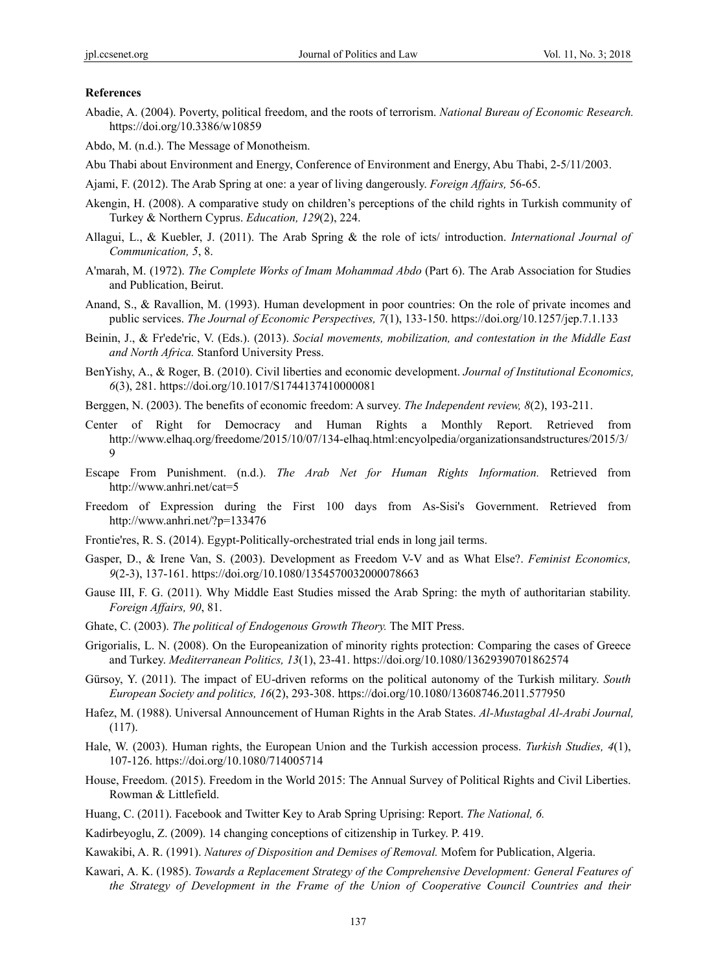#### **References**

Abadie, A. (2004). Poverty, political freedom, and the roots of terrorism. *National Bureau of Economic Research.* https://doi.org/10.3386/w10859

Abdo, M. (n.d.). The Message of Monotheism.

Abu Thabi about Environment and Energy, Conference of Environment and Energy, Abu Thabi, 2-5/11/2003.

- Ajami, F. (2012). The Arab Spring at one: a year of living dangerously. *Foreign Affairs,* 56-65.
- Akengin, H. (2008). A comparative study on children's perceptions of the child rights in Turkish community of Turkey & Northern Cyprus. *Education, 129*(2), 224.
- Allagui, L., & Kuebler, J. (2011). The Arab Spring & the role of icts/ introduction. *International Journal of Communication, 5*, 8.
- A'marah, M. (1972). *The Complete Works of Imam Mohammad Abdo* (Part 6). The Arab Association for Studies and Publication, Beirut.
- Anand, S., & Ravallion, M. (1993). Human development in poor countries: On the role of private incomes and public services. *The Journal of Economic Perspectives, 7*(1), 133-150. https://doi.org/10.1257/jep.7.1.133
- Beinin, J., & Fr'ede'ric, V. (Eds.). (2013). *Social movements, mobilization, and contestation in the Middle East and North Africa.* Stanford University Press.
- BenYishy, A., & Roger, B. (2010). Civil liberties and economic development. *Journal of Institutional Economics, 6*(3), 281. https://doi.org/10.1017/S1744137410000081
- Berggen, N. (2003). The benefits of economic freedom: A survey. *The Independent review, 8*(2), 193-211.
- Center of Right for Democracy and Human Rights a Monthly Report. Retrieved from http://www.elhaq.org/freedome/2015/10/07/134-elhaq.html:encyolpedia/organizationsandstructures/2015/3/ 9
- Escape From Punishment. (n.d.). *The Arab Net for Human Rights Information.* Retrieved from http://www.anhri.net/cat=5
- Freedom of Expression during the First 100 days from As-Sisi's Government. Retrieved from http://www.anhri.net/?p=133476
- Frontie'res, R. S. (2014). Egypt-Politically-orchestrated trial ends in long jail terms.
- Gasper, D., & Irene Van, S. (2003). Development as Freedom V-V and as What Else?. *Feminist Economics, 9*(2-3), 137-161. https://doi.org/10.1080/1354570032000078663
- Gause III, F. G. (2011). Why Middle East Studies missed the Arab Spring: the myth of authoritarian stability. *Foreign Affairs, 90*, 81.
- Ghate, C. (2003). *The political of Endogenous Growth Theory.* The MIT Press.
- Grigorialis, L. N. (2008). On the Europeanization of minority rights protection: Comparing the cases of Greece and Turkey. *Mediterranean Politics, 13*(1), 23-41. https://doi.org/10.1080/13629390701862574
- Gürsoy, Y. (2011). The impact of EU-driven reforms on the political autonomy of the Turkish military. *South European Society and politics, 16*(2), 293-308. https://doi.org/10.1080/13608746.2011.577950
- Hafez, M. (1988). Universal Announcement of Human Rights in the Arab States. *Al-Mustagbal Al-Arabi Journal,*  (117).
- Hale, W. (2003). Human rights, the European Union and the Turkish accession process. *Turkish Studies, 4*(1), 107-126. https://doi.org/10.1080/714005714
- House, Freedom. (2015). Freedom in the World 2015: The Annual Survey of Political Rights and Civil Liberties. Rowman & Littlefield.
- Huang, C. (2011). Facebook and Twitter Key to Arab Spring Uprising: Report. *The National, 6.*
- Kadirbeyoglu, Z. (2009). 14 changing conceptions of citizenship in Turkey. P. 419.
- Kawakibi, A. R. (1991). *Natures of Disposition and Demises of Removal.* Mofem for Publication, Algeria.
- Kawari, A. K. (1985). *Towards a Replacement Strategy of the Comprehensive Development: General Features of the Strategy of Development in the Frame of the Union of Cooperative Council Countries and their*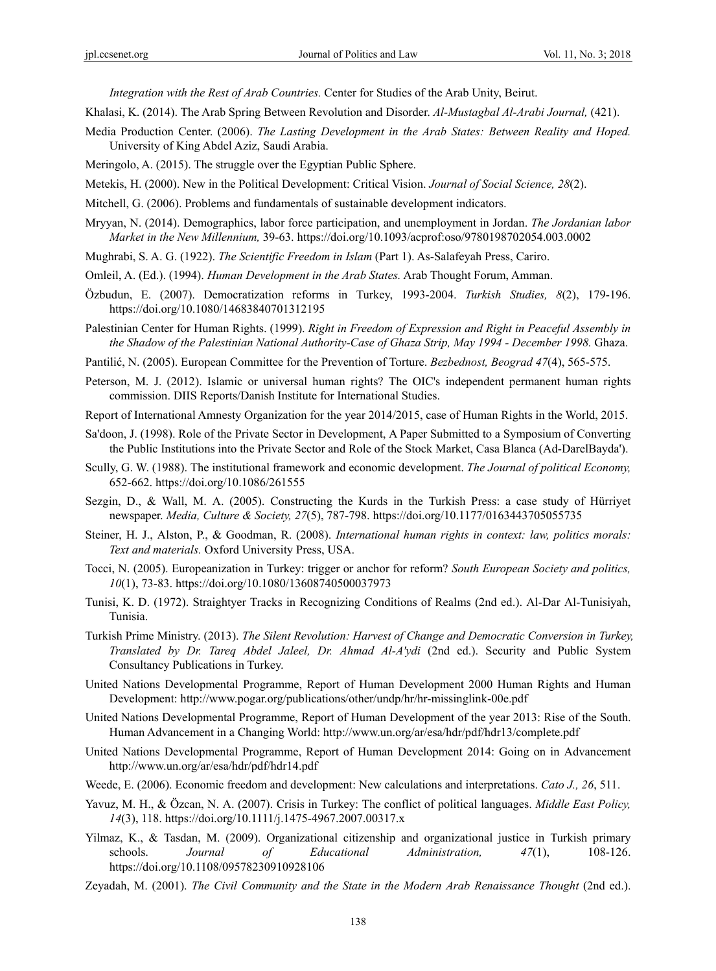*Integration with the Rest of Arab Countries.* Center for Studies of the Arab Unity, Beirut.

- Khalasi, K. (2014). The Arab Spring Between Revolution and Disorder. *Al-Mustagbal Al-Arabi Journal,* (421).
- Media Production Center. (2006). *The Lasting Development in the Arab States: Between Reality and Hoped.* University of King Abdel Aziz, Saudi Arabia.
- Meringolo, A. (2015). The struggle over the Egyptian Public Sphere.
- Metekis, H. (2000). New in the Political Development: Critical Vision. *Journal of Social Science, 28*(2).
- Mitchell, G. (2006). Problems and fundamentals of sustainable development indicators.
- Mryyan, N. (2014). Demographics, labor force participation, and unemployment in Jordan. *The Jordanian labor Market in the New Millennium,* 39-63. https://doi.org/10.1093/acprof:oso/9780198702054.003.0002
- Mughrabi, S. A. G. (1922). *The Scientific Freedom in Islam* (Part 1). As-Salafeyah Press, Cariro.
- Omleil, A. (Ed.). (1994). *Human Development in the Arab States.* Arab Thought Forum, Amman.
- Özbudun, E. (2007). Democratization reforms in Turkey, 1993-2004. *Turkish Studies, 8*(2), 179-196. https://doi.org/10.1080/14683840701312195
- Palestinian Center for Human Rights. (1999). *Right in Freedom of Expression and Right in Peaceful Assembly in the Shadow of the Palestinian National Authority-Case of Ghaza Strip, May 1994 - December 1998.* Ghaza.
- Pantilić, N. (2005). European Committee for the Prevention of Torture. *Bezbednost, Beograd 47*(4), 565-575.
- Peterson, M. J. (2012). Islamic or universal human rights? The OIC's independent permanent human rights commission. DIIS Reports/Danish Institute for International Studies.
- Report of International Amnesty Organization for the year 2014/2015, case of Human Rights in the World, 2015.
- Sa'doon, J. (1998). Role of the Private Sector in Development, A Paper Submitted to a Symposium of Converting the Public Institutions into the Private Sector and Role of the Stock Market, Casa Blanca (Ad-DarelBayda').
- Scully, G. W. (1988). The institutional framework and economic development. *The Journal of political Economy,*  652-662. https://doi.org/10.1086/261555
- Sezgin, D., & Wall, M. A. (2005). Constructing the Kurds in the Turkish Press: a case study of Hürriyet newspaper. *Media, Culture & Society, 27*(5), 787-798. https://doi.org/10.1177/0163443705055735
- Steiner, H. J., Alston, P., & Goodman, R. (2008). *International human rights in context: law, politics morals: Text and materials.* Oxford University Press, USA.
- Tocci, N. (2005). Europeanization in Turkey: trigger or anchor for reform? *South European Society and politics, 10*(1), 73-83. https://doi.org/10.1080/13608740500037973
- Tunisi, K. D. (1972). Straightyer Tracks in Recognizing Conditions of Realms (2nd ed.). Al-Dar Al-Tunisiyah, Tunisia.
- Turkish Prime Ministry. (2013). *The Silent Revolution: Harvest of Change and Democratic Conversion in Turkey, Translated by Dr. Tareq Abdel Jaleel, Dr. Ahmad Al-A'ydi* (2nd ed.). Security and Public System Consultancy Publications in Turkey.
- United Nations Developmental Programme, Report of Human Development 2000 Human Rights and Human Development: http://www.pogar.org/publications/other/undp/hr/hr-missinglink-00e.pdf
- United Nations Developmental Programme, Report of Human Development of the year 2013: Rise of the South. Human Advancement in a Changing World: http://www.un.org/ar/esa/hdr/pdf/hdr13/complete.pdf
- United Nations Developmental Programme, Report of Human Development 2014: Going on in Advancement http://www.un.org/ar/esa/hdr/pdf/hdr14.pdf
- Weede, E. (2006). Economic freedom and development: New calculations and interpretations. *Cato J., 26*, 511.
- Yavuz, M. H., & Özcan, N. A. (2007). Crisis in Turkey: The conflict of political languages. *Middle East Policy, 14*(3), 118. https://doi.org/10.1111/j.1475-4967.2007.00317.x
- Yilmaz, K., & Tasdan, M. (2009). Organizational citizenship and organizational justice in Turkish primary schools. *Journal of Educational Administration, 47*(1), 108-126. https://doi.org/10.1108/09578230910928106
- Zeyadah, M. (2001). *The Civil Community and the State in the Modern Arab Renaissance Thought* (2nd ed.).